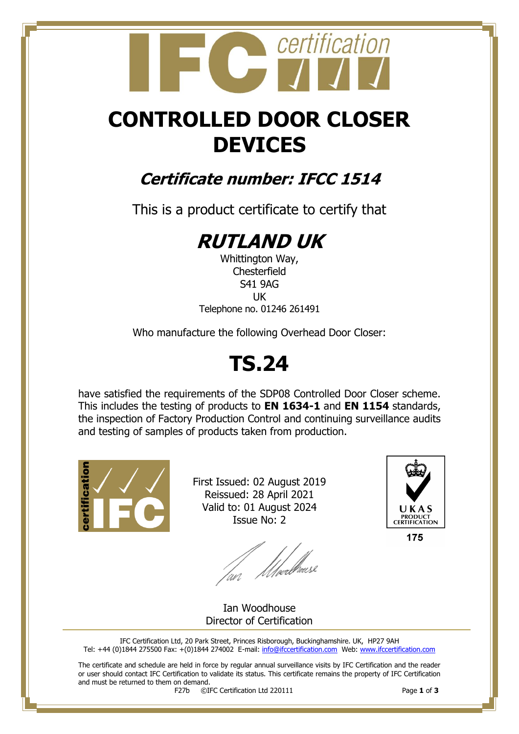# certification

# **CONTROLLED DOOR CLOSER DEVICES**

## **Certificate number: IFCC 1514**

This is a product certificate to certify that

# **RUTLAND UK**

Whittington Way, **Chesterfield** S41 9AG UK Telephone no. 01246 261491

Who manufacture the following Overhead Door Closer:

# **TS.24**

have satisfied the requirements of the SDP08 Controlled Door Closer scheme. This includes the testing of products to **EN 1634-1** and **EN 1154** standards, the inspection of Factory Production Control and continuing surveillance audits and testing of samples of products taken from production.



First Issued: 02 August 2019 Reissued: 28 April 2021 Valid to: 01 August 2024 Issue No: 2

lan Moedhouse



175

Ian Woodhouse Director of Certification

IFC Certification Ltd, 20 Park Street, Princes Risborough, Buckinghamshire. UK, HP27 9AH Tel: +44 (0)1844 275500 Fax: +(0)1844 274002 E-mail[: info@ifccertification.com](mailto:info@ifccertification.com) Web: [www.ifccertification.com](http://www.ifccertification.com/)

The certificate and schedule are held in force by regular annual surveillance visits by IFC Certification and the reader or user should contact IFC Certification to validate its status. This certificate remains the property of IFC Certification and must be returned to them on demand.<br> $F27b$   $\odot$ I

F27b ©IFC Certification Ltd 220111 Page **1** of **3**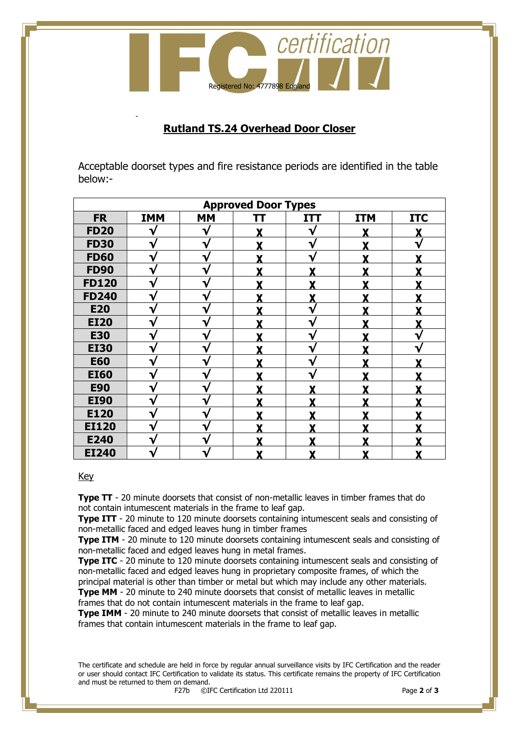

#### **Rutland TS.24 Overhead Door Closer**

Acceptable doorset types and fire resistance periods are identified in the table below:-

| <b>Approved Door Types</b> |            |           |   |            |            |            |  |  |  |
|----------------------------|------------|-----------|---|------------|------------|------------|--|--|--|
| <b>FR</b>                  | <b>IMM</b> | <b>MM</b> |   | <b>ITT</b> | <b>ITM</b> | <b>ITC</b> |  |  |  |
| <b>FD20</b>                | V          |           |   | V          |            |            |  |  |  |
| <b>FD30</b>                |            |           |   |            |            |            |  |  |  |
| <b>FD60</b>                | ٦          |           |   | ٦.         |            |            |  |  |  |
| <b>FD90</b>                | V          | ٦.        |   |            |            |            |  |  |  |
| <b>FD120</b>               | V          |           |   |            |            |            |  |  |  |
| <b>FD240</b>               | V          | ٦         | v | v          | v          |            |  |  |  |
| <b>E20</b>                 | V          |           |   | v          | v          |            |  |  |  |
| <b>EI20</b>                | V          |           |   |            |            |            |  |  |  |
| <b>E30</b>                 |            |           |   |            |            |            |  |  |  |
| <b>EI30</b>                |            |           |   |            |            |            |  |  |  |
| <b>E60</b>                 | V          |           |   | ٦ν         |            |            |  |  |  |
| <b>EI60</b>                | V          | ٦         |   | ٦ν         |            |            |  |  |  |
| <b>E90</b>                 | V          | ٦         |   |            |            |            |  |  |  |
| <b>EI90</b>                | ν          |           |   |            | v          |            |  |  |  |
| E120                       | V          |           |   |            |            |            |  |  |  |
| <b>EI120</b>               |            |           |   |            |            |            |  |  |  |
| E240                       |            |           |   |            |            |            |  |  |  |
| <b>EI240</b>               | V          |           |   | X          | Y          |            |  |  |  |

#### Key

-

**Type TT** - 20 minute doorsets that consist of non-metallic leaves in timber frames that do not contain intumescent materials in the frame to leaf gap.

**Type ITT** - 20 minute to 120 minute doorsets containing intumescent seals and consisting of non-metallic faced and edged leaves hung in timber frames

**Type ITM** - 20 minute to 120 minute doorsets containing intumescent seals and consisting of non-metallic faced and edged leaves hung in metal frames.

**Type ITC** - 20 minute to 120 minute doorsets containing intumescent seals and consisting of non-metallic faced and edged leaves hung in proprietary composite frames, of which the principal material is other than timber or metal but which may include any other materials. **Type MM** - 20 minute to 240 minute doorsets that consist of metallic leaves in metallic

frames that do not contain intumescent materials in the frame to leaf gap.

**Type IMM** - 20 minute to 240 minute doorsets that consist of metallic leaves in metallic frames that contain intumescent materials in the frame to leaf gap.

The certificate and schedule are held in force by regular annual surveillance visits by IFC Certification and the reader or user should contact IFC Certification to validate its status. This certificate remains the property of IFC Certification and must be returned to them on demand.<br> $F27b$   $\odot$ I

F27b ©IFC Certification Ltd 220111 Page **2** of **3**